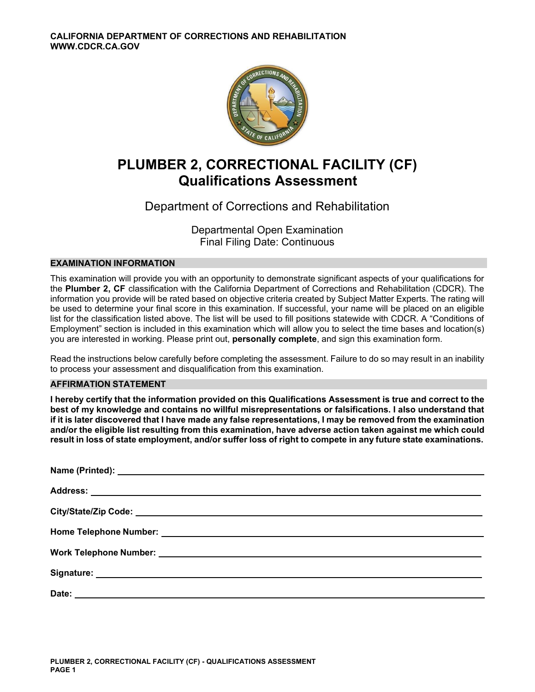

# **PLUMBER 2, CORRECTIONAL FACILITY (CF) Qualifications Assessment**

## Department of Corrections and Rehabilitation

Departmental Open Examination Final Filing Date: Continuous

#### **EXAMINATION INFORMATION**

This examination will provide you with an opportunity to demonstrate significant aspects of your qualifications for the **Plumber 2, CF** classification with the California Department of Corrections and Rehabilitation (CDCR). The information you provide will be rated based on objective criteria created by Subject Matter Experts. The rating will be used to determine your final score in this examination. If successful, your name will be placed on an eligible list for the classification listed above. The list will be used to fill positions statewide with CDCR. A "Conditions of Employment" section is included in this examination which will allow you to select the time bases and location(s) you are interested in working. Please print out, **personally complete**, and sign this examination form.

Read the instructions below carefully before completing the assessment. Failure to do so may result in an inability to process your assessment and disqualification from this examination.

#### **AFFIRMATION STATEMENT**

**I hereby certify that the information provided on this Qualifications Assessment is true and correct to the best of my knowledge and contains no willful misrepresentations or falsifications. I also understand that if it is later discovered that I have made any false representations, I may be removed from the examination and/or the eligible list resulting from this examination, have adverse action taken against me which could result in loss of state employment, and/or suffer loss of right to compete in any future state examinations.** 

| Name (Printed): <u>Name (Printed):</u> |
|----------------------------------------|
|                                        |
|                                        |
|                                        |
|                                        |
|                                        |
|                                        |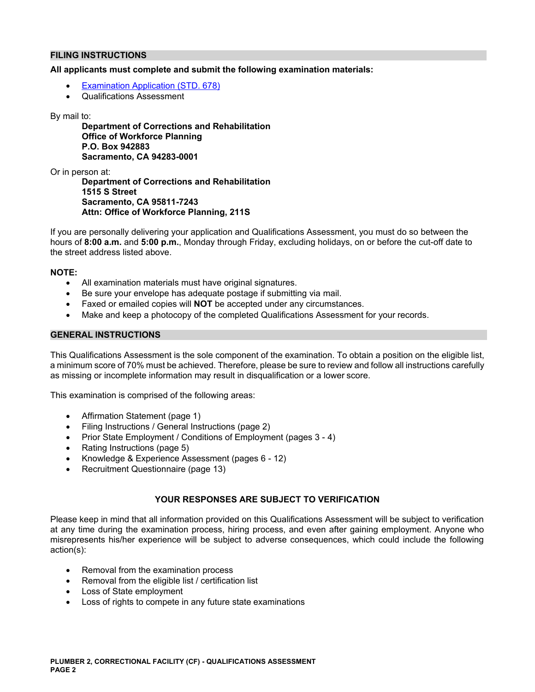#### **FILING INSTRUCTIONS**

#### **All applicants must complete and submit the following examination materials:**

- [Examination Application \(STD. 678\)](https://jobs.ca.gov/pdf/STD678.pdf)
- Qualifications Assessment

By mail to:

**Department of Corrections and Rehabilitation Office of Workforce Planning P.O. Box 942883 Sacramento, CA 94283-0001** 

Or in person at:

**Department of Corrections and Rehabilitation 1515 S Street Sacramento, CA 95811-7243 Attn: Office of Workforce Planning, 211S** 

If you are personally delivering your application and Qualifications Assessment, you must do so between the hours of **8:00 a.m.** and **5:00 p.m.**, Monday through Friday, excluding holidays, on or before the cut-off date to the street address listed above.

#### **NOTE:**

- All examination materials must have original signatures.
- Be sure your envelope has adequate postage if submitting via mail.
- Faxed or emailed copies will **NOT** be accepted under any circumstances.
- Make and keep a photocopy of the completed Qualifications Assessment for your records.

#### **GENERAL INSTRUCTIONS**

This Qualifications Assessment is the sole component of the examination. To obtain a position on the eligible list, a minimum score of 70% must be achieved. Therefore, please be sure to review and follow all instructions carefully as missing or incomplete information may result in disqualification or a lower score.

This examination is comprised of the following areas:

- Affirmation Statement (page 1)
- Filing Instructions / General Instructions (page 2)
- Prior State Employment / Conditions of Employment (pages 3 4)
- Rating Instructions (page 5)
- Knowledge & Experience Assessment (pages 6 12)
- Recruitment Questionnaire (page 13)

#### **YOUR RESPONSES ARE SUBJECT TO VERIFICATION**

Please keep in mind that all information provided on this Qualifications Assessment will be subject to verification at any time during the examination process, hiring process, and even after gaining employment. Anyone who misrepresents his/her experience will be subject to adverse consequences, which could include the following action(s):

- Removal from the examination process
- Removal from the eligible list / certification list
- Loss of State employment
- Loss of rights to compete in any future state examinations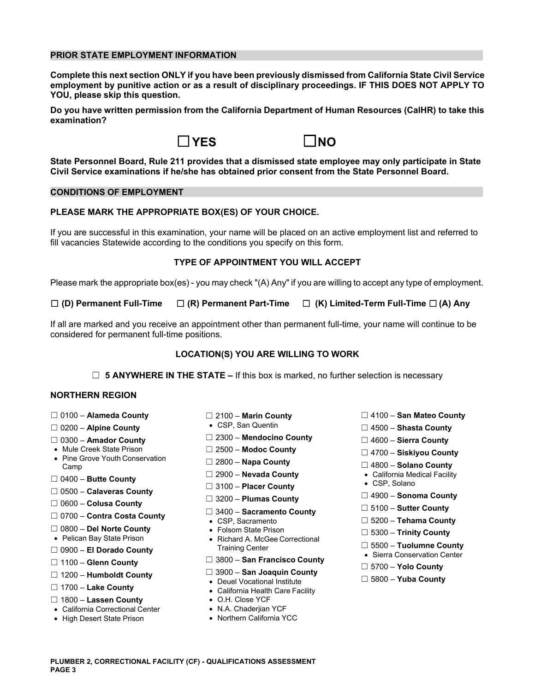#### **PRIOR STATE EMPLOYMENT INFORMATION**

**Complete this next section ONLY if you have been previously dismissed from California State Civil Service employment by punitive action or as a result of disciplinary proceedings. IF THIS DOES NOT APPLY TO YOU, please skip this question.** 

**Do you have written permission from the California Department of Human Resources (CalHR) to take this examination?** 



**State Personnel Board, Rule 211 provides that a dismissed state employee may only participate in State Civil Service examinations if he/she has obtained prior consent from the State Personnel Board.** 

#### **CONDITIONS OF EMPLOYMENT**

#### **PLEASE MARK THE APPROPRIATE BOX(ES) OF YOUR CHOICE.**

If you are successful in this examination, your name will be placed on an active employment list and referred to fill vacancies Statewide according to the conditions you specify on this form.

#### **TYPE OF APPOINTMENT YOU WILL ACCEPT**

Please mark the appropriate box(es) - you may check "(A) Any" if you are willing to accept any type of employment.

☐ **(D) Permanent Full-Time** ☐ **(R) Permanent Part-Time** ☐ **(K) Limited-Term Full-Time** ☐ **(A) Any**

If all are marked and you receive an appointment other than permanent full-time, your name will continue to be considered for permanent full-time positions.

#### **LOCATION(S) YOU ARE WILLING TO WORK**

□ **5 ANYWHERE IN THE STATE –** If this box is marked, no further selection is necessary

#### **NORTHERN REGION**

- 
- ☐ CSP, San Quentin 0200 **Alpine County** ☐ 4500 **Shasta County**
- 
- 
- **Mule Creek State Prison**  $□ 2500 -$  **Modoc County**<br> **•** Pine Grove Youth Conservation  $□ 2800 -$  **Napa County**  $□ 4700 -$  Siskiyou County<br>
Camp Camp
- 
- ☐ 31 CSP, Solano <sup>00</sup>**Placer County** ☐ 0500 **Calaveras County**
- ☐ ☐ 4900 **Sonoma County** 3200 **Plumas County** ☐ 0600 **Colusa County**
- ☐ ☐ 5100 **Sutter County** 3400 **Sacramento County** ☐ 0700 **Contra Costa County** CSP, Sacramento ☐ 5200 **Tehama County**
- 
- 
- 
- 
- ☐ ☐ 3900 **San Joaquin County** 1200 **Humboldt County** ☐ 5800 **Yuba County** Deuel Vocational Institute ☐ 1700 **Lake County** California Health Care Facility
- 
- □ 1800 Lassen County **Canadian County** O.H. Close YCF
- California Correctional Center N.A. Chaderjian YCF
- 
- 
- 
- ☐ ☐ 2300 **Mendocino County** 00 03 **Amador County** ☐ 4600 **Sierra County**
	-
	-
	- □ 2800 **Napa County**<br>□ 2900 **Nevada County** ● California Medical Facility
- ☐ 2900 **Nevada County** California Medical Facility ☐ 0400 **Butte County**
	-
	-
	-
	-
- ☐ 0800 **Del Norte County** Folsom State Prison ☐ 5300 **Trinity County** Pelican Bay State Prison Richard A. McGee Correctional
- □ 5500 **El Dorado County**<br>
□ 5500 **El Dorado County** Training Center<br>
□ 1100 **Glenn County** Designed Based County Designed Based County Designed Based County ☐ ☐ 3800 – **San Francisco County** 1100 – **Glenn County** ☐ 5700 – **Yolo County**
	-
	-
	-
	-
	-
- High Desert State Prison Northern California YCC
- ☐ 0100 **Alameda County** ☐ 2100 **Marin County** ☐ 4100 **San Mateo County**
	-
	-
	-
	-
	-
	-
	-
	-
	-
	-
	-
	-
	-
	-

**PLUMBER 2, CORRECTIONAL FACILITY (CF) - QUALIFICATIONS ASSESSMENT PAGE 3**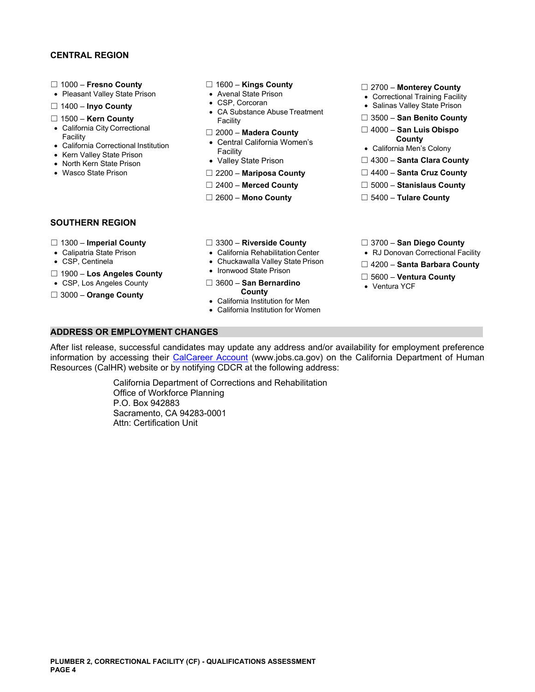#### **CENTRAL REGION**

- 
- ☐ 1000 **Fresno County** ☐ 1600 **Kings County** ☐ 2700 **Monterey County** Pleasant Valley State Prison Avenal State Prison Correctional Training Facility
- 
- 
- 
- 
- 
- 
- 
- 
- 
- 
- Pleasant Valley State Prison Avenal State Prison **Correctional Training Facility**<br>
□ 1400 **Inyo County CA Substance Abuse Treatment** Salinas Valley State Prison CA Substance Abuse Treatment<br>
Facility **CA Sub** ☐ 1500 – **Kern County** ☐ 3500 – **San Benito County** Facility
	-
- Facility<br>
California Correctional Institution<br>
 California Men's Colony<br>
 Kern Valley State Prison<br>
 North Kern State Prison<br>
 Valley State Prison<br>
 Valley State Prison<br>
 Valley State Prison<br>
 Valley State Prison<br>
	-
	-
	-
	-
- 
- 
- 
- 
- California City Correctional ☐ ☐ 400 **ispo** 2000 **Madera County** <sup>0</sup>**San Luis Ob**
	-
	-
- Wasco State Prison **Ⅰ 2200 Mariposa County Ⅰ 4400 Santa Cruz County** 
	- ☐ 2400 **Merced County** ☐ 5000 **Stanislaus County**
	- ☐ 2600 **Mono County** ☐ 5400 **Tulare County**

#### **SOUTHERN REGION**

- 
- 
- 
- 
- 
- □ 3000 **Orange County**<br>California Institution for Men California Institution for Men
- 
- 
- 
- 
- ☐ Ironwood State Prison 1900 **Los Angeles County** ☐ 5600 **Ventura County** CSP, Los Angeles County ☐ 3600 **San Bernardino** Ventura YCF
	-
	- California Institution for Women

#### **ADDRESS OR EMPLOYMENT CHANGES**

After list release, successful candidates may update any address and/or availability for employment preference information by accessing their [CalCareer Account](https://www.jobs.ca.gov/) [\(www.jobs.ca.gov](www.jobs.ca.gov)) on the California Department of Human Resources (CalHR) website or by notifying CDCR at the following address:

> California Department of Corrections and Rehabilitation Office of Workforce Planning P.O. Box 942883 Sacramento, CA 94283-0001 Attn: Certification Unit

- ☐ 1300 **Imperial County** ☐ 3300 **Riverside County** ☐ 3700 **San Diego County**
- Calipatria State Prison California Rehabilitation Center RJ Donovan Correctional Facility
	- Chuckawalla Valley State Prison <u>□</u> 4200 **Santa Barbara County**<br>■ Ironwood State Prison
		-
		-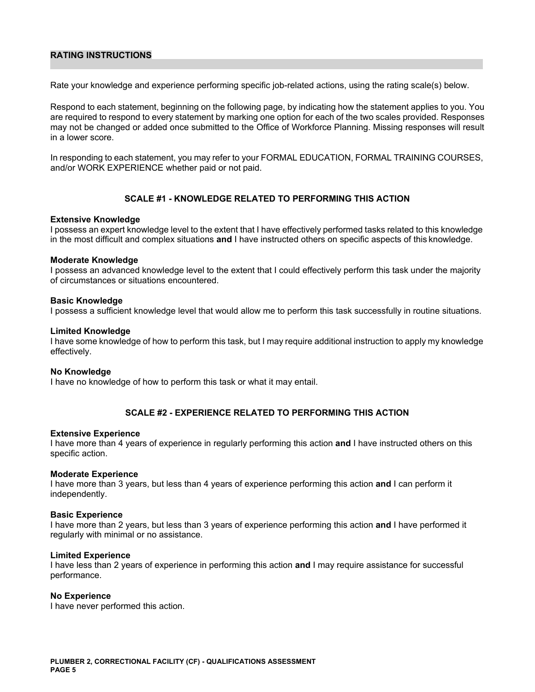#### **RATING INSTRUCTIONS**

Rate your knowledge and experience performing specific job-related actions, using the rating scale(s) below.

Respond to each statement, beginning on the following page, by indicating how the statement applies to you. You are required to respond to every statement by marking one option for each of the two scales provided. Responses may not be changed or added once submitted to the Office of Workforce Planning. Missing responses will result in a lower score.

In responding to each statement, you may refer to your FORMAL EDUCATION, FORMAL TRAINING COURSES, and/or WORK EXPERIENCE whether paid or not paid.

#### **SCALE #1 - KNOWLEDGE RELATED TO PERFORMING THIS ACTION**

#### **Extensive Knowledge**

I possess an expert knowledge level to the extent that I have effectively performed tasks related to this knowledge in the most difficult and complex situations **and** I have instructed others on specific aspects of this knowledge.

#### **Moderate Knowledge**

I possess an advanced knowledge level to the extent that I could effectively perform this task under the majority of circumstances or situations encountered.

#### **Basic Knowledge**

I possess a sufficient knowledge level that would allow me to perform this task successfully in routine situations.

#### **Limited Knowledge**

I have some knowledge of how to perform this task, but I may require additional instruction to apply my knowledge effectively.

#### **No Knowledge**

I have no knowledge of how to perform this task or what it may entail.

#### **SCALE #2 - EXPERIENCE RELATED TO PERFORMING THIS ACTION**

#### **Extensive Experience**

I have more than 4 years of experience in regularly performing this action **and** I have instructed others on this specific action.

#### **Moderate Experience**

I have more than 3 years, but less than 4 years of experience performing this action **and** I can perform it independently.

#### **Basic Experience**

I have more than 2 years, but less than 3 years of experience performing this action **and** I have performed it regularly with minimal or no assistance.

#### **Limited Experience**

I have less than 2 years of experience in performing this action **and** I may require assistance for successful performance.

#### **No Experience**

I have never performed this action.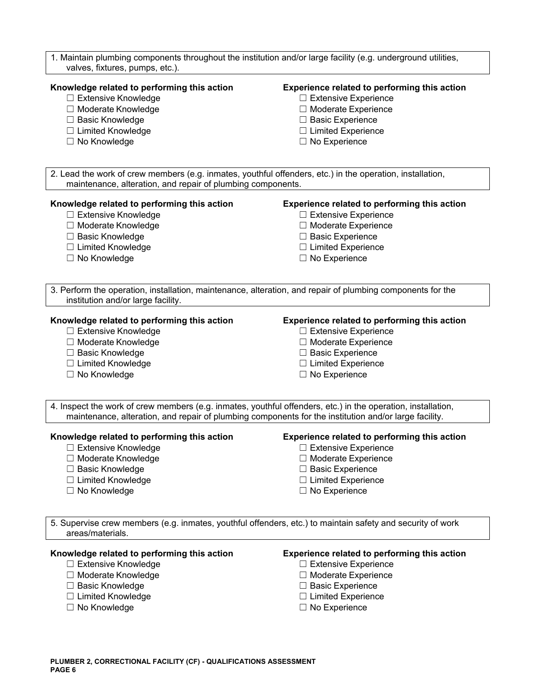| 1. Maintain plumbing components throughout the institution and/or large facility (e.g. underground utilities,<br>valves, fixtures, pumps, etc.).                                                                      |                                                     |  |
|-----------------------------------------------------------------------------------------------------------------------------------------------------------------------------------------------------------------------|-----------------------------------------------------|--|
| Knowledge related to performing this action                                                                                                                                                                           | <b>Experience related to performing this action</b> |  |
| □ Extensive Knowledge                                                                                                                                                                                                 | □ Extensive Experience                              |  |
| □ Moderate Knowledge                                                                                                                                                                                                  | □ Moderate Experience                               |  |
| $\Box$ Basic Knowledge                                                                                                                                                                                                | □ Basic Experience                                  |  |
| □ Limited Knowledge                                                                                                                                                                                                   | $\Box$ Limited Experience                           |  |
| □ No Knowledge                                                                                                                                                                                                        | □ No Experience                                     |  |
| 2. Lead the work of crew members (e.g. inmates, youthful offenders, etc.) in the operation, installation,<br>maintenance, alteration, and repair of plumbing components.                                              |                                                     |  |
| Knowledge related to performing this action                                                                                                                                                                           | <b>Experience related to performing this action</b> |  |
| □ Extensive Knowledge                                                                                                                                                                                                 | □ Extensive Experience                              |  |
| □ Moderate Knowledge                                                                                                                                                                                                  | □ Moderate Experience                               |  |
| □ Basic Knowledge                                                                                                                                                                                                     | □ Basic Experience                                  |  |
| □ Limited Knowledge                                                                                                                                                                                                   | $\Box$ Limited Experience                           |  |
| □ No Knowledge                                                                                                                                                                                                        | $\Box$ No Experience                                |  |
| 3. Perform the operation, installation, maintenance, alteration, and repair of plumbing components for the<br>institution and/or large facility.                                                                      |                                                     |  |
| Knowledge related to performing this action                                                                                                                                                                           | <b>Experience related to performing this action</b> |  |
| $\Box$ Extensive Knowledge                                                                                                                                                                                            | □ Extensive Experience                              |  |
| □ Moderate Knowledge                                                                                                                                                                                                  | □ Moderate Experience                               |  |
| □ Basic Knowledge                                                                                                                                                                                                     | □ Basic Experience                                  |  |
| □ Limited Knowledge                                                                                                                                                                                                   | $\Box$ Limited Experience                           |  |
| □ No Knowledge                                                                                                                                                                                                        | $\Box$ No Experience                                |  |
| 4. Inspect the work of crew members (e.g. inmates, youthful offenders, etc.) in the operation, installation,<br>maintenance, alteration, and repair of plumbing components for the institution and/or large facility. |                                                     |  |
| Knowledge related to performing this action                                                                                                                                                                           | <b>Experience related to performing this action</b> |  |
| □ Extensive Knowledge                                                                                                                                                                                                 | □ Extensive Experience                              |  |
| □ Moderate Knowledge                                                                                                                                                                                                  | □ Moderate Experience                               |  |
| □ Basic Knowledge                                                                                                                                                                                                     | $\Box$ Basic Experience                             |  |
| □ Limited Knowledge                                                                                                                                                                                                   | $\Box$ Limited Experience                           |  |
| $\Box$ No Knowledge                                                                                                                                                                                                   | $\Box$ No Experience                                |  |
| 5. Supervise crew members (e.g. inmates, youthful offenders, etc.) to maintain safety and security of work<br>areas/materials.                                                                                        |                                                     |  |
| Knowledge related to performing this action                                                                                                                                                                           | Experience related to performing this action        |  |
| □ Extensive Knowledge                                                                                                                                                                                                 | $\Box$ Extensive Experience                         |  |
| □ Moderate Knowledge                                                                                                                                                                                                  | □ Moderate Experience                               |  |
| □ Basic Knowledge                                                                                                                                                                                                     | □ Basic Experience                                  |  |
| □ Limited Knowledge                                                                                                                                                                                                   | $\Box$ Limited Experience                           |  |
| $\Box$ No Knowledge                                                                                                                                                                                                   | $\Box$ No Experience                                |  |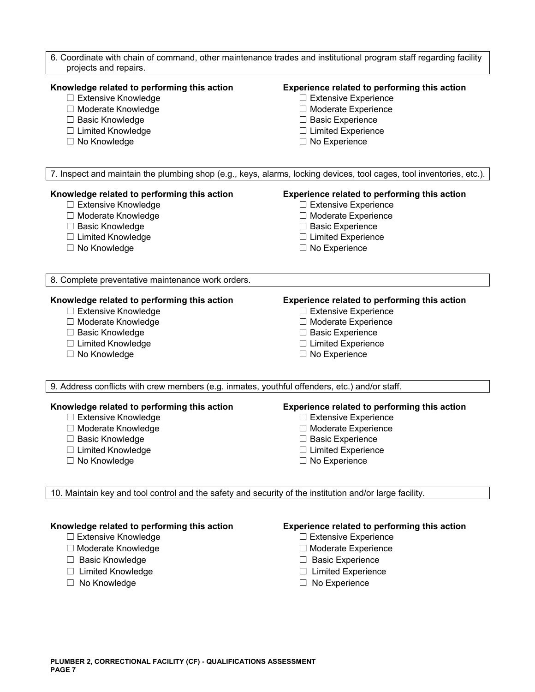| projects and repairs.                                                                                   | 6. Coordinate with chain of command, other maintenance trades and institutional program staff regarding facility     |
|---------------------------------------------------------------------------------------------------------|----------------------------------------------------------------------------------------------------------------------|
| Knowledge related to performing this action                                                             | Experience related to performing this action                                                                         |
| $\Box$ Extensive Knowledge                                                                              | □ Extensive Experience                                                                                               |
| □ Moderate Knowledge                                                                                    | □ Moderate Experience                                                                                                |
| □ Basic Knowledge                                                                                       | $\Box$ Basic Experience                                                                                              |
| □ Limited Knowledge                                                                                     | $\Box$ Limited Experience                                                                                            |
| □ No Knowledge                                                                                          | $\Box$ No Experience                                                                                                 |
|                                                                                                         | 7. Inspect and maintain the plumbing shop (e.g., keys, alarms, locking devices, tool cages, tool inventories, etc.). |
| Knowledge related to performing this action                                                             | Experience related to performing this action                                                                         |
| $\Box$ Extensive Knowledge                                                                              | $\Box$ Extensive Experience                                                                                          |
| □ Moderate Knowledge                                                                                    | □ Moderate Experience                                                                                                |
| □ Basic Knowledge                                                                                       | □ Basic Experience                                                                                                   |
| □ Limited Knowledge                                                                                     | $\Box$ Limited Experience                                                                                            |
| □ No Knowledge                                                                                          | $\Box$ No Experience                                                                                                 |
| 8. Complete preventative maintenance work orders.                                                       |                                                                                                                      |
| Knowledge related to performing this action                                                             | Experience related to performing this action                                                                         |
| □ Extensive Knowledge                                                                                   | □ Extensive Experience                                                                                               |
| □ Moderate Knowledge                                                                                    | □ Moderate Experience                                                                                                |
| □ Basic Knowledge                                                                                       | □ Basic Experience                                                                                                   |
| □ Limited Knowledge                                                                                     | $\Box$ Limited Experience                                                                                            |
| □ No Knowledge                                                                                          | $\Box$ No Experience                                                                                                 |
| 9. Address conflicts with crew members (e.g. inmates, youthful offenders, etc.) and/or staff.           |                                                                                                                      |
| Knowledge related to performing this action                                                             | Experience related to performing this action                                                                         |
| □ Extensive Knowledge                                                                                   | □ Extensive Experience                                                                                               |
| □ Moderate Knowledge                                                                                    | □ Moderate Experience                                                                                                |
| □ Basic Knowledge                                                                                       | □ Basic Experience                                                                                                   |
| □ Limited Knowledge                                                                                     | $\Box$ Limited Experience                                                                                            |
| $\Box$ No Knowledge                                                                                     | $\Box$ No Experience                                                                                                 |
| 10. Maintain key and tool control and the safety and security of the institution and/or large facility. |                                                                                                                      |
| Knowledge related to performing this action                                                             | Experience related to performing this action                                                                         |
| $\Box$ Extensive Knowledge                                                                              | $\Box$ Extensive Experience                                                                                          |
| □ Moderate Knowledge                                                                                    | □ Moderate Experience                                                                                                |
| <b>Basic Knowledge</b>                                                                                  | <b>Basic Experience</b>                                                                                              |

- 
- 
- 
- ☐ Limited Knowledge ☐ Limited Experience
	- □ No Experience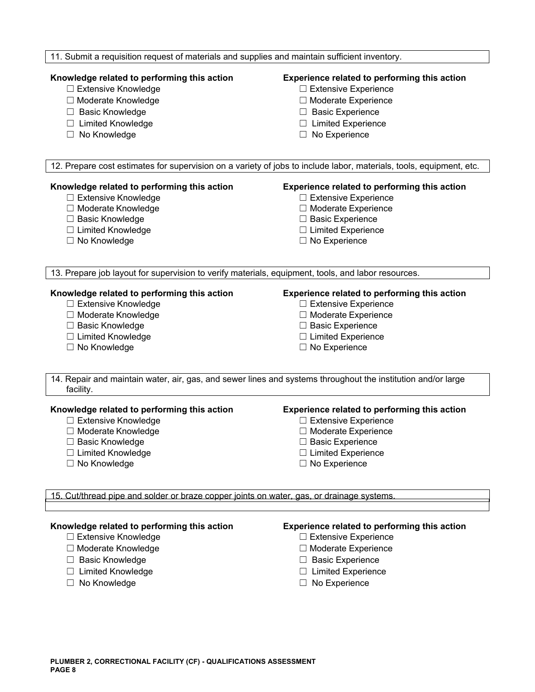| $\Box$ Extensive Experience<br>□ Moderate Experience<br>$\Box$ Basic Experience<br>□ Limited Experience<br>$\Box$ No Experience<br>12. Prepare cost estimates for supervision on a variety of jobs to include labor, materials, tools, equipment, etc.<br>Experience related to performing this action<br>$\Box$ Extensive Experience<br>□ Moderate Experience<br>$\Box$ Basic Experience<br>$\Box$ Limited Experience<br>$\Box$ No Experience<br>13. Prepare job layout for supervision to verify materials, equipment, tools, and labor resources. |
|------------------------------------------------------------------------------------------------------------------------------------------------------------------------------------------------------------------------------------------------------------------------------------------------------------------------------------------------------------------------------------------------------------------------------------------------------------------------------------------------------------------------------------------------------|
|                                                                                                                                                                                                                                                                                                                                                                                                                                                                                                                                                      |
|                                                                                                                                                                                                                                                                                                                                                                                                                                                                                                                                                      |
|                                                                                                                                                                                                                                                                                                                                                                                                                                                                                                                                                      |
|                                                                                                                                                                                                                                                                                                                                                                                                                                                                                                                                                      |
|                                                                                                                                                                                                                                                                                                                                                                                                                                                                                                                                                      |
|                                                                                                                                                                                                                                                                                                                                                                                                                                                                                                                                                      |
|                                                                                                                                                                                                                                                                                                                                                                                                                                                                                                                                                      |
|                                                                                                                                                                                                                                                                                                                                                                                                                                                                                                                                                      |
|                                                                                                                                                                                                                                                                                                                                                                                                                                                                                                                                                      |
|                                                                                                                                                                                                                                                                                                                                                                                                                                                                                                                                                      |
|                                                                                                                                                                                                                                                                                                                                                                                                                                                                                                                                                      |
|                                                                                                                                                                                                                                                                                                                                                                                                                                                                                                                                                      |
|                                                                                                                                                                                                                                                                                                                                                                                                                                                                                                                                                      |
|                                                                                                                                                                                                                                                                                                                                                                                                                                                                                                                                                      |
| Experience related to performing this action<br>□ Extensive Experience                                                                                                                                                                                                                                                                                                                                                                                                                                                                               |
| □ Moderate Experience                                                                                                                                                                                                                                                                                                                                                                                                                                                                                                                                |
| $\Box$ Basic Experience                                                                                                                                                                                                                                                                                                                                                                                                                                                                                                                              |
| $\Box$ Limited Experience                                                                                                                                                                                                                                                                                                                                                                                                                                                                                                                            |
| $\Box$ No Experience                                                                                                                                                                                                                                                                                                                                                                                                                                                                                                                                 |
| 14. Repair and maintain water, air, gas, and sewer lines and systems throughout the institution and/or large                                                                                                                                                                                                                                                                                                                                                                                                                                         |
|                                                                                                                                                                                                                                                                                                                                                                                                                                                                                                                                                      |
| Experience related to performing this action                                                                                                                                                                                                                                                                                                                                                                                                                                                                                                         |
| □ Extensive Experience                                                                                                                                                                                                                                                                                                                                                                                                                                                                                                                               |
| □ Moderate Experience                                                                                                                                                                                                                                                                                                                                                                                                                                                                                                                                |
| □ Basic Experience                                                                                                                                                                                                                                                                                                                                                                                                                                                                                                                                   |
| □ Limited Experience                                                                                                                                                                                                                                                                                                                                                                                                                                                                                                                                 |
| $\Box$ No Experience                                                                                                                                                                                                                                                                                                                                                                                                                                                                                                                                 |
| 15. Cut/thread pipe and solder or braze copper joints on water, gas, or drainage systems.                                                                                                                                                                                                                                                                                                                                                                                                                                                            |
|                                                                                                                                                                                                                                                                                                                                                                                                                                                                                                                                                      |

- 
- 
- 
- 
- □ No Knowledge
- ☐ Extensive Knowledge ☐ Extensive Experience
- ☐ Moderate Knowledge ☐ Moderate Experience
- ☐ Basic Knowledge ☐ Basic Experience
- ☐ Limited Knowledge ☐ Limited Experience
	-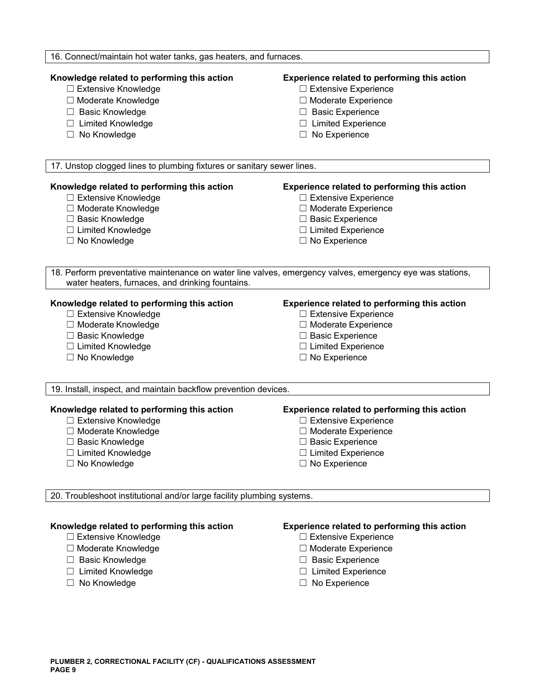| 16. Connect/maintain hot water tanks, gas heaters, and furnaces.                                                                                             |                                              |  |
|--------------------------------------------------------------------------------------------------------------------------------------------------------------|----------------------------------------------|--|
| Knowledge related to performing this action                                                                                                                  | Experience related to performing this action |  |
| □ Extensive Knowledge                                                                                                                                        | $\Box$ Extensive Experience                  |  |
| □ Moderate Knowledge                                                                                                                                         | □ Moderate Experience                        |  |
| □ Basic Knowledge                                                                                                                                            | $\Box$ Basic Experience                      |  |
| □ Limited Knowledge                                                                                                                                          | □ Limited Experience                         |  |
| $\Box$ No Knowledge                                                                                                                                          | $\Box$ No Experience                         |  |
| 17. Unstop clogged lines to plumbing fixtures or sanitary sewer lines.                                                                                       |                                              |  |
| Knowledge related to performing this action                                                                                                                  | Experience related to performing this action |  |
| □ Extensive Knowledge                                                                                                                                        | □ Extensive Experience                       |  |
| □ Moderate Knowledge                                                                                                                                         | □ Moderate Experience                        |  |
| □ Basic Knowledge                                                                                                                                            | □ Basic Experience                           |  |
| □ Limited Knowledge                                                                                                                                          | $\Box$ Limited Experience                    |  |
| $\Box$ No Knowledge                                                                                                                                          | $\Box$ No Experience                         |  |
| 18. Perform preventative maintenance on water line valves, emergency valves, emergency eye was stations,<br>water heaters, furnaces, and drinking fountains. |                                              |  |
| Knowledge related to performing this action                                                                                                                  | Experience related to performing this action |  |
| □ Extensive Knowledge                                                                                                                                        | □ Extensive Experience                       |  |
| □ Moderate Knowledge                                                                                                                                         | □ Moderate Experience                        |  |
| □ Basic Knowledge                                                                                                                                            | □ Basic Experience                           |  |
| □ Limited Knowledge                                                                                                                                          | $\Box$ Limited Experience                    |  |
| $\Box$ No Knowledge                                                                                                                                          | $\Box$ No Experience                         |  |
| 19. Install, inspect, and maintain backflow prevention devices.                                                                                              |                                              |  |
| Knowledge related to performing this action                                                                                                                  | Experience related to performing this action |  |
| □ Extensive Knowledge                                                                                                                                        | □ Extensive Experience                       |  |
| □ Moderate Knowledge                                                                                                                                         | □ Moderate Experience                        |  |
| □ Basic Knowledge                                                                                                                                            | $\Box$ Basic Experience                      |  |
| $\Box$ Limited Knowledge                                                                                                                                     | $\Box$ Limited Experience                    |  |
| $\Box$ No Knowledge                                                                                                                                          | $\Box$ No Experience                         |  |
| 20. Troubleshoot institutional and/or large facility plumbing systems.                                                                                       |                                              |  |
| Knowledge related to performing this action                                                                                                                  | Experience related to performing this action |  |
| □ Extensive Knowledge                                                                                                                                        | $\Box$ Extensive Experience                  |  |
| □ Moderate Knowledge                                                                                                                                         | □ Moderate Experience                        |  |
| □ Basic Knowledge                                                                                                                                            | □ Basic Experience                           |  |
| □ Limited Knowledge                                                                                                                                          | $\Box$ Limited Experience                    |  |
| No Knowledge                                                                                                                                                 | $\Box$ No Experience                         |  |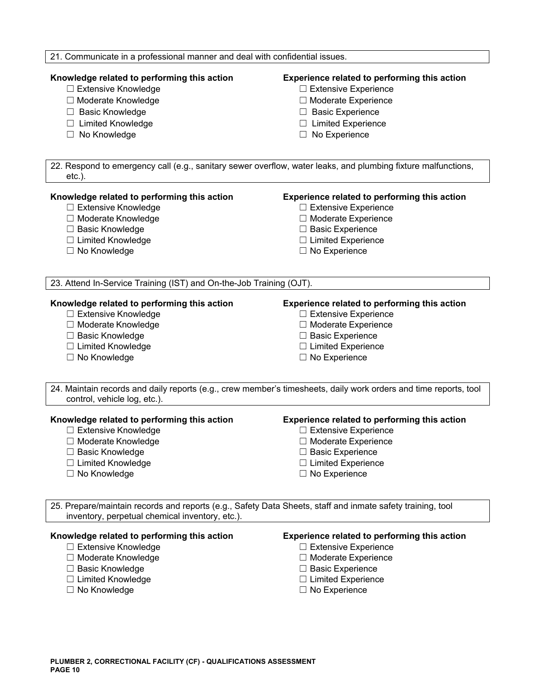| 21. Communicate in a professional manner and deal with confidential issues.                                                                                   |                                              |  |
|---------------------------------------------------------------------------------------------------------------------------------------------------------------|----------------------------------------------|--|
| Knowledge related to performing this action                                                                                                                   | Experience related to performing this action |  |
| □ Extensive Knowledge                                                                                                                                         | $\Box$ Extensive Experience                  |  |
| □ Moderate Knowledge                                                                                                                                          | □ Moderate Experience                        |  |
| $\Box$ Basic Knowledge                                                                                                                                        | $\Box$ Basic Experience                      |  |
| $\Box$ Limited Knowledge                                                                                                                                      | □ Limited Experience                         |  |
| $\Box$ No Knowledge                                                                                                                                           | No Experience                                |  |
| 22. Respond to emergency call (e.g., sanitary sewer overflow, water leaks, and plumbing fixture malfunctions,<br>$etc.$ ).                                    |                                              |  |
| Knowledge related to performing this action                                                                                                                   | Experience related to performing this action |  |
| $\Box$ Extensive Knowledge                                                                                                                                    | □ Extensive Experience                       |  |
| □ Moderate Knowledge                                                                                                                                          | □ Moderate Experience                        |  |
| □ Basic Knowledge                                                                                                                                             | $\Box$ Basic Experience                      |  |
| □ Limited Knowledge                                                                                                                                           | $\Box$ Limited Experience                    |  |
| $\Box$ No Knowledge                                                                                                                                           | $\Box$ No Experience                         |  |
| 23. Attend In-Service Training (IST) and On-the-Job Training (OJT).                                                                                           |                                              |  |
| Knowledge related to performing this action                                                                                                                   | Experience related to performing this action |  |
| □ Extensive Knowledge                                                                                                                                         | □ Extensive Experience                       |  |
| □ Moderate Knowledge                                                                                                                                          | □ Moderate Experience                        |  |
| □ Basic Knowledge                                                                                                                                             | □ Basic Experience                           |  |
| □ Limited Knowledge                                                                                                                                           | $\Box$ Limited Experience                    |  |
| $\Box$ No Knowledge                                                                                                                                           | $\Box$ No Experience                         |  |
| 24. Maintain records and daily reports (e.g., crew member's timesheets, daily work orders and time reports, tool<br>control, vehicle log, etc.).              |                                              |  |
| Knowledge related to performing this action                                                                                                                   | Experience related to performing this action |  |
| □ Extensive Knowledge                                                                                                                                         | □ Extensive Experience                       |  |
| $\Box$ Moderate Knowledge                                                                                                                                     | $\Box$ Moderate Experience                   |  |
| $\Box$ Basic Knowledge                                                                                                                                        | $\Box$ Basic Experience                      |  |
| □ Limited Knowledge                                                                                                                                           | $\Box$ Limited Experience                    |  |
| $\Box$ No Knowledge                                                                                                                                           | $\Box$ No Experience                         |  |
| 25. Prepare/maintain records and reports (e.g., Safety Data Sheets, staff and inmate safety training, tool<br>inventory, perpetual chemical inventory, etc.). |                                              |  |
| Knowledge related to performing this action                                                                                                                   | Experience related to performing this action |  |
| $\Box$ Extensive Knowledge                                                                                                                                    | $\Box$ Extensive Experience                  |  |
| □ Moderate Knowledge                                                                                                                                          | □ Moderate Experience                        |  |
| □ Basic Knowledge                                                                                                                                             | $\Box$ Basic Experience                      |  |
| □ Limited Knowledge                                                                                                                                           | $\Box$ Limited Experience                    |  |
| $\Box$ No Knowledge                                                                                                                                           | $\Box$ No Experience                         |  |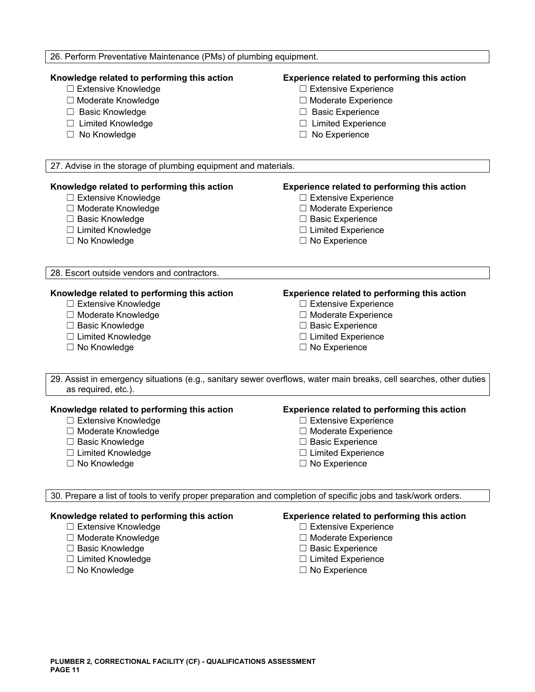| 26. Perform Preventative Maintenance (PMs) of plumbing equipment.                                                                                                  |                                                                                                                                                                                   |  |
|--------------------------------------------------------------------------------------------------------------------------------------------------------------------|-----------------------------------------------------------------------------------------------------------------------------------------------------------------------------------|--|
| Knowledge related to performing this action<br>□ Extensive Knowledge<br>□ Moderate Knowledge<br>□ Basic Knowledge<br>□ Limited Knowledge<br>No Knowledge<br>$\Box$ | <b>Experience related to performing this action</b><br>□ Extensive Experience<br>□ Moderate Experience<br>$\Box$ Basic Experience<br>□ Limited Experience<br>$\Box$ No Experience |  |
| 27. Advise in the storage of plumbing equipment and materials.                                                                                                     |                                                                                                                                                                                   |  |
| Knowledge related to performing this action<br>$\Box$ Extensive Knowledge<br>□ Moderate Knowledge<br>□ Basic Knowledge<br>□ Limited Knowledge<br>□ No Knowledge    | <b>Experience related to performing this action</b><br>□ Extensive Experience<br>□ Moderate Experience<br>□ Basic Experience<br>$\Box$ Limited Experience<br>$\Box$ No Experience |  |
| 28. Escort outside vendors and contractors.                                                                                                                        |                                                                                                                                                                                   |  |
| Knowledge related to performing this action<br>□ Extensive Knowledge<br>□ Moderate Knowledge<br>□ Basic Knowledge<br>□ Limited Knowledge<br>$\Box$ No Knowledge    | Experience related to performing this action<br>□ Extensive Experience<br>□ Moderate Experience<br>□ Basic Experience<br>□ Limited Experience<br>$\Box$ No Experience             |  |
| as required, etc.).                                                                                                                                                | 29. Assist in emergency situations (e.g., sanitary sewer overflows, water main breaks, cell searches, other duties                                                                |  |
| Knowledge related to performing this action<br>□ Extensive Knowledge<br>□ Moderate Knowledge<br>□ Basic Knowledge<br>□ Limited Knowledge<br>$\Box$ No Knowledge    | Experience related to performing this action<br>□ Extensive Experience<br>□ Moderate Experience<br><b>Basic Experience</b><br>$\Box$ Limited Experience<br>$\Box$ No Experience   |  |
|                                                                                                                                                                    | 30. Prepare a list of tools to verify proper preparation and completion of specific jobs and task/work orders.                                                                    |  |
| Knowledge related to performing this action<br>□ Extensive Knowledge<br>□ Moderate Knowledge<br>□ Basic Knowledge                                                  | <b>Experience related to performing this action</b><br>$\Box$ Extensive Experience<br>□ Moderate Experience<br>□ Basic Experience                                                 |  |

- 
- 
- 
- ☐ Limited Knowledge ☐ Limited Experience
	- □ No Experience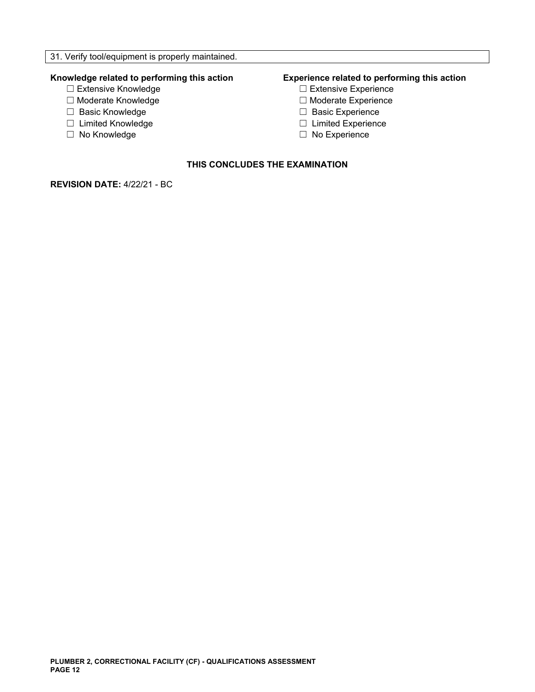- 
- ☐ Moderate Knowledge ☐ Moderate Experience
- ☐ Basic Knowledge ☐ Basic Experience
- ☐ Limited Knowledge ☐ Limited Experience
- 

# **Knowledge related to performing this action Experience related to performing this action**

- □ Extensive Experience
- -
- 
- ☐ No Knowledge ☐ No Experience

### **THIS CONCLUDES THE EXAMINATION**

**REVISION DATE:** 4/22/21 - BC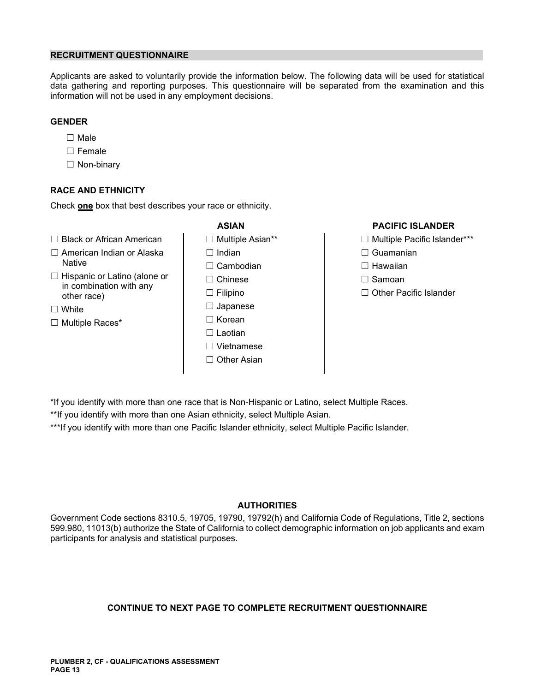#### **RECRUITMENT QUESTIONNAIRE**

Applicants are asked to voluntarily provide the information below. The following data will be used for statistical data gathering and reporting purposes. This questionnaire will be separated from the examination and this information will not be used in any employment decisions.

#### **GENDER**

- ☐ Male
- ☐ Female
- ☐ Non-binary

#### **RACE AND ETHNICITY**

Check **one** box that best describes your race or ethnicity.

- 
- ☐ American Indian or Alaska ☐ Indian ☐ Guamanian
- ☐ Hispanic or Latino (alone or ☐ Chinese ☐ Samoan  $\Box$  Filipino  $\Box$  Filipino  $\Box$  Other Pacific Islander

- 
- Native ☐ Cambodian ☐ Hawaiian □ White □ Napanese □ Multiple Races\* <br>
■ Races\* Races Races Races Races Races Races Races Races Races Races Races Races Races Races Races Races Races Races Races Races Races Races Races Races Races Races Races Races Races Races Races Races □ Laotian ☐ Vietnamese □ Other Asian

#### **ASIAN PACIFIC ISLANDER**

- ☐ Black or African American ☐ Multiple Asian\*\* ☐ Multiple Pacific Islander\*\*\*
	-
	-
	-
	-

\*If you identify with more than one race that is Non-Hispanic or Latino, select Multiple Races.

\*\*If you identify with more than one Asian ethnicity, select Multiple Asian.

\*\*\*If you identify with more than one Pacific Islander ethnicity, select Multiple Pacific Islander.

#### **AUTHORITIES**

Government Code sections 8310.5, 19705, 19790, 19792(h) and California Code of Regulations, Title 2, sections 599.980, 11013(b) authorize the State of California to collect demographic information on job applicants and exam participants for analysis and statistical purposes.

#### **CONTINUE TO NEXT PAGE TO COMPLETE RECRUITMENT QUESTIONNAIRE**